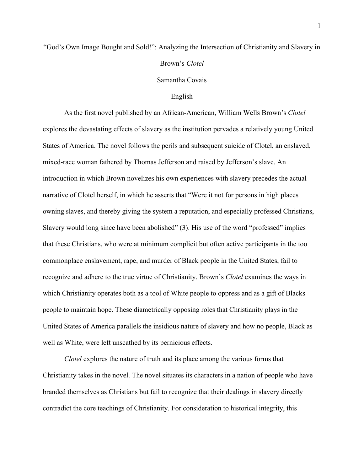## "God's Own Image Bought and Sold!": Analyzing the Intersection of Christianity and Slavery in Brown's *Clotel*

## Samantha Covais

## English

 As the first novel published by an African-American, William Wells Brown's *Clotel* explores the devastating effects of slavery as the institution pervades a relatively young United States of America. The novel follows the perils and subsequent suicide of Clotel, an enslaved, mixed-race woman fathered by Thomas Jefferson and raised by Jefferson's slave. An introduction in which Brown novelizes his own experiences with slavery precedes the actual narrative of Clotel herself, in which he asserts that "Were it not for persons in high places owning slaves, and thereby giving the system a reputation, and especially professed Christians, Slavery would long since have been abolished" (3). His use of the word "professed" implies that these Christians, who were at minimum complicit but often active participants in the too commonplace enslavement, rape, and murder of Black people in the United States, fail to recognize and adhere to the true virtue of Christianity. Brown's *Clotel* examines the ways in which Christianity operates both as a tool of White people to oppress and as a gift of Blacks people to maintain hope. These diametrically opposing roles that Christianity plays in the United States of America parallels the insidious nature of slavery and how no people, Black as well as White, were left unscathed by its pernicious effects.

*Clotel* explores the nature of truth and its place among the various forms that Christianity takes in the novel. The novel situates its characters in a nation of people who have branded themselves as Christians but fail to recognize that their dealings in slavery directly contradict the core teachings of Christianity. For consideration to historical integrity, this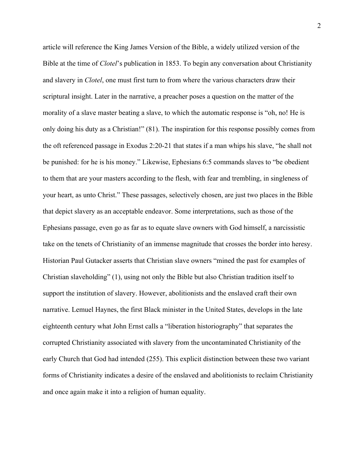article will reference the King James Version of the Bible, a widely utilized version of the Bible at the time of *Clotel*'s publication in 1853. To begin any conversation about Christianity and slavery in *Clotel*, one must first turn to from where the various characters draw their scriptural insight. Later in the narrative, a preacher poses a question on the matter of the morality of a slave master beating a slave, to which the automatic response is "oh, no! He is only doing his duty as a Christian!" (81). The inspiration for this response possibly comes from the oft referenced passage in Exodus 2:20-21 that states if a man whips his slave, "he shall not be punished: for he is his money." Likewise, Ephesians 6:5 commands slaves to "be obedient to them that are your masters according to the flesh, with fear and trembling, in singleness of your heart, as unto Christ." These passages, selectively chosen, are just two places in the Bible that depict slavery as an acceptable endeavor. Some interpretations, such as those of the Ephesians passage, even go as far as to equate slave owners with God himself, a narcissistic take on the tenets of Christianity of an immense magnitude that crosses the border into heresy. Historian Paul Gutacker asserts that Christian slave owners "mined the past for examples of Christian slaveholding" (1), using not only the Bible but also Christian tradition itself to support the institution of slavery. However, abolitionists and the enslaved craft their own narrative. Lemuel Haynes, the first Black minister in the United States, develops in the late eighteenth century what John Ernst calls a "liberation historiography" that separates the corrupted Christianity associated with slavery from the uncontaminated Christianity of the early Church that God had intended (255). This explicit distinction between these two variant forms of Christianity indicates a desire of the enslaved and abolitionists to reclaim Christianity and once again make it into a religion of human equality.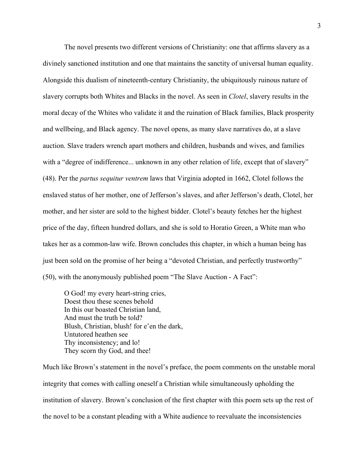The novel presents two different versions of Christianity: one that affirms slavery as a divinely sanctioned institution and one that maintains the sanctity of universal human equality. Alongside this dualism of nineteenth-century Christianity, the ubiquitously ruinous nature of slavery corrupts both Whites and Blacks in the novel. As seen in *Clotel*, slavery results in the moral decay of the Whites who validate it and the ruination of Black families, Black prosperity and wellbeing, and Black agency. The novel opens, as many slave narratives do, at a slave auction. Slave traders wrench apart mothers and children, husbands and wives, and families with a "degree of indifference... unknown in any other relation of life, except that of slavery" (48). Per the *partus sequitur ventrem* laws that Virginia adopted in 1662, Clotel follows the enslaved status of her mother, one of Jefferson's slaves, and after Jefferson's death, Clotel, her mother, and her sister are sold to the highest bidder. Clotel's beauty fetches her the highest price of the day, fifteen hundred dollars, and she is sold to Horatio Green, a White man who takes her as a common-law wife. Brown concludes this chapter, in which a human being has just been sold on the promise of her being a "devoted Christian, and perfectly trustworthy" (50), with the anonymously published poem "The Slave Auction - A Fact":

O God! my every heart-string cries, Doest thou these scenes behold In this our boasted Christian land, And must the truth be told? Blush, Christian, blush! for e'en the dark, Untutored heathen see Thy inconsistency; and lo! They scorn thy God, and thee!

Much like Brown's statement in the novel's preface, the poem comments on the unstable moral integrity that comes with calling oneself a Christian while simultaneously upholding the institution of slavery. Brown's conclusion of the first chapter with this poem sets up the rest of the novel to be a constant pleading with a White audience to reevaluate the inconsistencies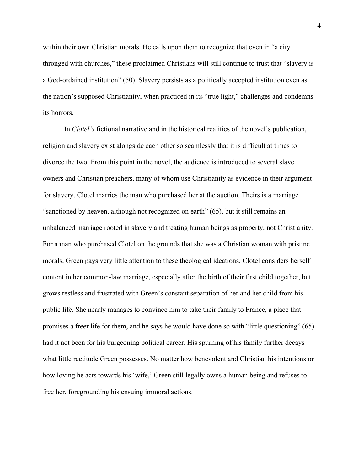within their own Christian morals. He calls upon them to recognize that even in "a city thronged with churches," these proclaimed Christians will still continue to trust that "slavery is a God-ordained institution" (50). Slavery persists as a politically accepted institution even as the nation's supposed Christianity, when practiced in its "true light," challenges and condemns its horrors.

In *Clotel's* fictional narrative and in the historical realities of the novel's publication, religion and slavery exist alongside each other so seamlessly that it is difficult at times to divorce the two. From this point in the novel, the audience is introduced to several slave owners and Christian preachers, many of whom use Christianity as evidence in their argument for slavery. Clotel marries the man who purchased her at the auction. Theirs is a marriage "sanctioned by heaven, although not recognized on earth" (65), but it still remains an unbalanced marriage rooted in slavery and treating human beings as property, not Christianity. For a man who purchased Clotel on the grounds that she was a Christian woman with pristine morals, Green pays very little attention to these theological ideations. Clotel considers herself content in her common-law marriage, especially after the birth of their first child together, but grows restless and frustrated with Green's constant separation of her and her child from his public life. She nearly manages to convince him to take their family to France, a place that promises a freer life for them, and he says he would have done so with "little questioning" (65) had it not been for his burgeoning political career. His spurning of his family further decays what little rectitude Green possesses. No matter how benevolent and Christian his intentions or how loving he acts towards his 'wife,' Green still legally owns a human being and refuses to free her, foregrounding his ensuing immoral actions.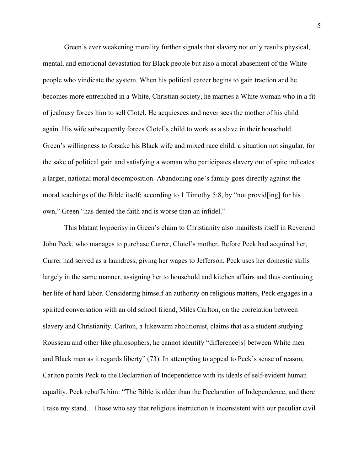Green's ever weakening morality further signals that slavery not only results physical, mental, and emotional devastation for Black people but also a moral abasement of the White people who vindicate the system. When his political career begins to gain traction and he becomes more entrenched in a White, Christian society, he marries a White woman who in a fit of jealousy forces him to sell Clotel. He acquiesces and never sees the mother of his child again. His wife subsequently forces Clotel's child to work as a slave in their household. Green's willingness to forsake his Black wife and mixed race child, a situation not singular, for the sake of political gain and satisfying a woman who participates slavery out of spite indicates a larger, national moral decomposition. Abandoning one's family goes directly against the moral teachings of the Bible itself; according to 1 Timothy 5:8, by "not provid[ing] for his own," Green "has denied the faith and is worse than an infidel."

This blatant hypocrisy in Green's claim to Christianity also manifests itself in Reverend John Peck, who manages to purchase Currer, Clotel's mother. Before Peck had acquired her, Currer had served as a laundress, giving her wages to Jefferson. Peck uses her domestic skills largely in the same manner, assigning her to household and kitchen affairs and thus continuing her life of hard labor. Considering himself an authority on religious matters, Peck engages in a spirited conversation with an old school friend, Miles Carlton, on the correlation between slavery and Christianity. Carlton, a lukewarm abolitionist, claims that as a student studying Rousseau and other like philosophers, he cannot identify "difference[s] between White men and Black men as it regards liberty" (73). In attempting to appeal to Peck's sense of reason, Carlton points Peck to the Declaration of Independence with its ideals of self-evident human equality. Peck rebuffs him: "The Bible is older than the Declaration of Independence, and there I take my stand... Those who say that religious instruction is inconsistent with our peculiar civil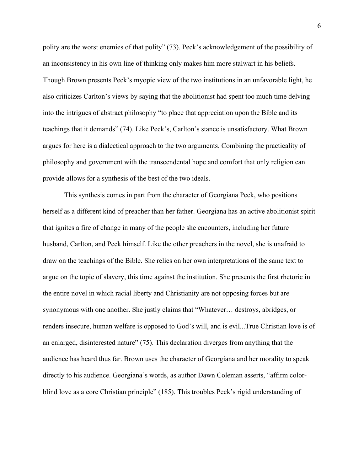polity are the worst enemies of that polity" (73). Peck's acknowledgement of the possibility of an inconsistency in his own line of thinking only makes him more stalwart in his beliefs. Though Brown presents Peck's myopic view of the two institutions in an unfavorable light, he also criticizes Carlton's views by saying that the abolitionist had spent too much time delving into the intrigues of abstract philosophy "to place that appreciation upon the Bible and its teachings that it demands" (74). Like Peck's, Carlton's stance is unsatisfactory. What Brown argues for here is a dialectical approach to the two arguments. Combining the practicality of philosophy and government with the transcendental hope and comfort that only religion can provide allows for a synthesis of the best of the two ideals.

This synthesis comes in part from the character of Georgiana Peck, who positions herself as a different kind of preacher than her father. Georgiana has an active abolitionist spirit that ignites a fire of change in many of the people she encounters, including her future husband, Carlton, and Peck himself. Like the other preachers in the novel, she is unafraid to draw on the teachings of the Bible. She relies on her own interpretations of the same text to argue on the topic of slavery, this time against the institution. She presents the first rhetoric in the entire novel in which racial liberty and Christianity are not opposing forces but are synonymous with one another. She justly claims that "Whatever… destroys, abridges, or renders insecure, human welfare is opposed to God's will, and is evil...True Christian love is of an enlarged, disinterested nature" (75). This declaration diverges from anything that the audience has heard thus far. Brown uses the character of Georgiana and her morality to speak directly to his audience. Georgiana's words, as author Dawn Coleman asserts, "affirm colorblind love as a core Christian principle" (185). This troubles Peck's rigid understanding of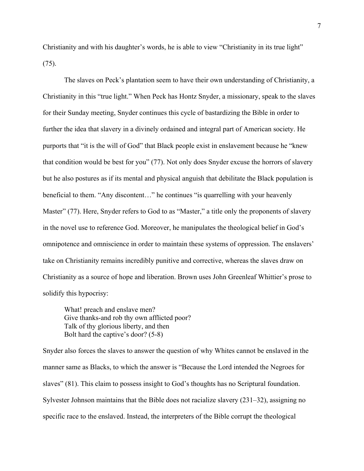Christianity and with his daughter's words, he is able to view "Christianity in its true light" (75).

The slaves on Peck's plantation seem to have their own understanding of Christianity, a Christianity in this "true light." When Peck has Hontz Snyder, a missionary, speak to the slaves for their Sunday meeting, Snyder continues this cycle of bastardizing the Bible in order to further the idea that slavery in a divinely ordained and integral part of American society. He purports that "it is the will of God" that Black people exist in enslavement because he "knew that condition would be best for you" (77). Not only does Snyder excuse the horrors of slavery but he also postures as if its mental and physical anguish that debilitate the Black population is beneficial to them. "Any discontent…" he continues "is quarrelling with your heavenly Master" (77). Here, Snyder refers to God to as "Master," a title only the proponents of slavery in the novel use to reference God. Moreover, he manipulates the theological belief in God's omnipotence and omniscience in order to maintain these systems of oppression. The enslavers' take on Christianity remains incredibly punitive and corrective, whereas the slaves draw on Christianity as a source of hope and liberation. Brown uses John Greenleaf Whittier's prose to solidify this hypocrisy:

What! preach and enslave men? Give thanks-and rob thy own afflicted poor? Talk of thy glorious liberty, and then Bolt hard the captive's door? (5-8)

Snyder also forces the slaves to answer the question of why Whites cannot be enslaved in the manner same as Blacks, to which the answer is "Because the Lord intended the Negroes for slaves" (81). This claim to possess insight to God's thoughts has no Scriptural foundation. Sylvester Johnson maintains that the Bible does not racialize slavery (231–32), assigning no specific race to the enslaved. Instead, the interpreters of the Bible corrupt the theological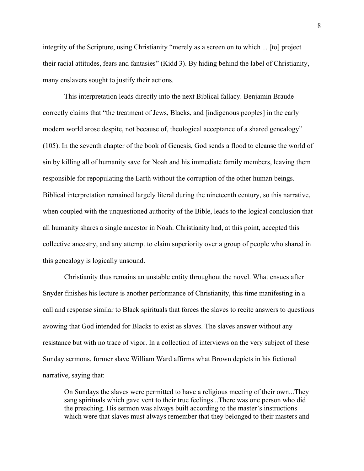integrity of the Scripture, using Christianity "merely as a screen on to which ... [to] project their racial attitudes, fears and fantasies" (Kidd 3). By hiding behind the label of Christianity, many enslavers sought to justify their actions.

This interpretation leads directly into the next Biblical fallacy. Benjamin Braude correctly claims that "the treatment of Jews, Blacks, and [indigenous peoples] in the early modern world arose despite, not because of, theological acceptance of a shared genealogy" (105). In the seventh chapter of the book of Genesis, God sends a flood to cleanse the world of sin by killing all of humanity save for Noah and his immediate family members, leaving them responsible for repopulating the Earth without the corruption of the other human beings. Biblical interpretation remained largely literal during the nineteenth century, so this narrative, when coupled with the unquestioned authority of the Bible, leads to the logical conclusion that all humanity shares a single ancestor in Noah. Christianity had, at this point, accepted this collective ancestry, and any attempt to claim superiority over a group of people who shared in this genealogy is logically unsound.

Christianity thus remains an unstable entity throughout the novel. What ensues after Snyder finishes his lecture is another performance of Christianity, this time manifesting in a call and response similar to Black spirituals that forces the slaves to recite answers to questions avowing that God intended for Blacks to exist as slaves. The slaves answer without any resistance but with no trace of vigor. In a collection of interviews on the very subject of these Sunday sermons, former slave William Ward affirms what Brown depicts in his fictional narrative, saying that:

On Sundays the slaves were permitted to have a religious meeting of their own...They sang spirituals which gave vent to their true feelings...There was one person who did the preaching. His sermon was always built according to the master's instructions which were that slaves must always remember that they belonged to their masters and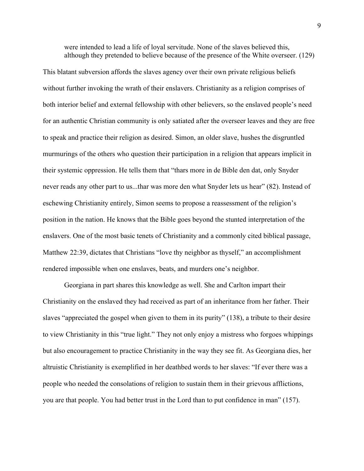were intended to lead a life of loyal servitude. None of the slaves believed this, although they pretended to believe because of the presence of the White overseer. (129)

This blatant subversion affords the slaves agency over their own private religious beliefs without further invoking the wrath of their enslavers. Christianity as a religion comprises of both interior belief and external fellowship with other believers, so the enslaved people's need for an authentic Christian community is only satiated after the overseer leaves and they are free to speak and practice their religion as desired. Simon, an older slave, hushes the disgruntled murmurings of the others who question their participation in a religion that appears implicit in their systemic oppression. He tells them that "thars more in de Bible den dat, only Snyder never reads any other part to us...thar was more den what Snyder lets us hear" (82). Instead of eschewing Christianity entirely, Simon seems to propose a reassessment of the religion's position in the nation. He knows that the Bible goes beyond the stunted interpretation of the enslavers. One of the most basic tenets of Christianity and a commonly cited biblical passage, Matthew 22:39, dictates that Christians "love thy neighbor as thyself," an accomplishment rendered impossible when one enslaves, beats, and murders one's neighbor.

 Georgiana in part shares this knowledge as well. She and Carlton impart their Christianity on the enslaved they had received as part of an inheritance from her father. Their slaves "appreciated the gospel when given to them in its purity" (138), a tribute to their desire to view Christianity in this "true light." They not only enjoy a mistress who forgoes whippings but also encouragement to practice Christianity in the way they see fit. As Georgiana dies, her altruistic Christianity is exemplified in her deathbed words to her slaves: "If ever there was a people who needed the consolations of religion to sustain them in their grievous afflictions, you are that people. You had better trust in the Lord than to put confidence in man" (157).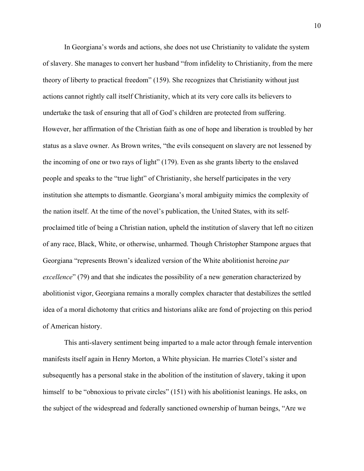In Georgiana's words and actions, she does not use Christianity to validate the system of slavery. She manages to convert her husband "from infidelity to Christianity, from the mere theory of liberty to practical freedom" (159). She recognizes that Christianity without just actions cannot rightly call itself Christianity, which at its very core calls its believers to undertake the task of ensuring that all of God's children are protected from suffering. However, her affirmation of the Christian faith as one of hope and liberation is troubled by her status as a slave owner. As Brown writes, "the evils consequent on slavery are not lessened by the incoming of one or two rays of light" (179). Even as she grants liberty to the enslaved people and speaks to the "true light" of Christianity, she herself participates in the very institution she attempts to dismantle. Georgiana's moral ambiguity mimics the complexity of the nation itself. At the time of the novel's publication, the United States, with its selfproclaimed title of being a Christian nation, upheld the institution of slavery that left no citizen of any race, Black, White, or otherwise, unharmed. Though Christopher Stampone argues that Georgiana "represents Brown's idealized version of the White abolitionist heroine *par excellence*" (79) and that she indicates the possibility of a new generation characterized by abolitionist vigor, Georgiana remains a morally complex character that destabilizes the settled idea of a moral dichotomy that critics and historians alike are fond of projecting on this period of American history.

This anti-slavery sentiment being imparted to a male actor through female intervention manifests itself again in Henry Morton, a White physician. He marries Clotel's sister and subsequently has a personal stake in the abolition of the institution of slavery, taking it upon himself to be "obnoxious to private circles" (151) with his abolitionist leanings. He asks, on the subject of the widespread and federally sanctioned ownership of human beings, "Are we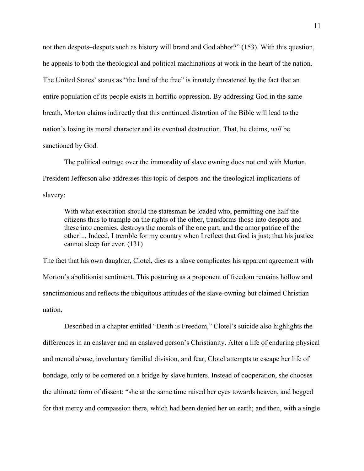not then despots–despots such as history will brand and God abhor?" (153). With this question, he appeals to both the theological and political machinations at work in the heart of the nation. The United States' status as "the land of the free" is innately threatened by the fact that an entire population of its people exists in horrific oppression. By addressing God in the same breath, Morton claims indirectly that this continued distortion of the Bible will lead to the nation's losing its moral character and its eventual destruction. That, he claims, *will* be sanctioned by God.

The political outrage over the immorality of slave owning does not end with Morton. President Jefferson also addresses this topic of despots and the theological implications of slavery:

With what execration should the statesman be loaded who, permitting one half the citizens thus to trample on the rights of the other, transforms those into despots and these into enemies, destroys the morals of the one part, and the amor patriae of the other!... Indeed, I tremble for my country when I reflect that God is just; that his justice cannot sleep for ever. (131)

The fact that his own daughter, Clotel, dies as a slave complicates his apparent agreement with Morton's abolitionist sentiment. This posturing as a proponent of freedom remains hollow and sanctimonious and reflects the ubiquitous attitudes of the slave-owning but claimed Christian nation.

Described in a chapter entitled "Death is Freedom," Clotel's suicide also highlights the differences in an enslaver and an enslaved person's Christianity. After a life of enduring physical and mental abuse, involuntary familial division, and fear, Clotel attempts to escape her life of bondage, only to be cornered on a bridge by slave hunters. Instead of cooperation, she chooses the ultimate form of dissent: "she at the same time raised her eyes towards heaven, and begged for that mercy and compassion there, which had been denied her on earth; and then, with a single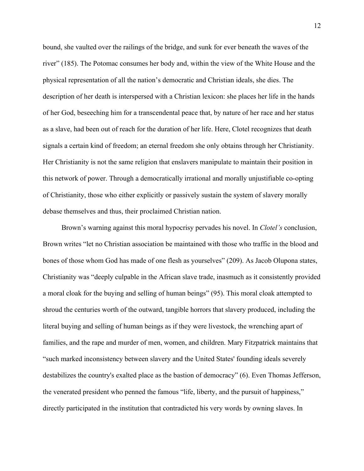bound, she vaulted over the railings of the bridge, and sunk for ever beneath the waves of the river" (185). The Potomac consumes her body and, within the view of the White House and the physical representation of all the nation's democratic and Christian ideals, she dies. The description of her death is interspersed with a Christian lexicon: she places her life in the hands of her God, beseeching him for a transcendental peace that, by nature of her race and her status as a slave, had been out of reach for the duration of her life. Here, Clotel recognizes that death signals a certain kind of freedom; an eternal freedom she only obtains through her Christianity. Her Christianity is not the same religion that enslavers manipulate to maintain their position in this network of power. Through a democratically irrational and morally unjustifiable co-opting of Christianity, those who either explicitly or passively sustain the system of slavery morally debase themselves and thus, their proclaimed Christian nation.

Brown's warning against this moral hypocrisy pervades his novel. In *Clotel's* conclusion, Brown writes "let no Christian association be maintained with those who traffic in the blood and bones of those whom God has made of one flesh as yourselves" (209). As Jacob Olupona states, Christianity was "deeply culpable in the African slave trade, inasmuch as it consistently provided a moral cloak for the buying and selling of human beings" (95). This moral cloak attempted to shroud the centuries worth of the outward, tangible horrors that slavery produced, including the literal buying and selling of human beings as if they were livestock, the wrenching apart of families, and the rape and murder of men, women, and children. Mary Fitzpatrick maintains that "such marked inconsistency between slavery and the United States' founding ideals severely destabilizes the country's exalted place as the bastion of democracy" (6). Even Thomas Jefferson, the venerated president who penned the famous "life, liberty, and the pursuit of happiness," directly participated in the institution that contradicted his very words by owning slaves. In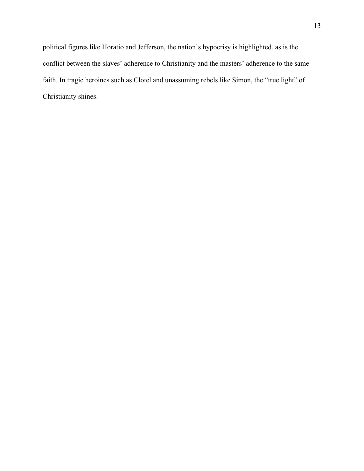political figures like Horatio and Jefferson, the nation's hypocrisy is highlighted, as is the conflict between the slaves' adherence to Christianity and the masters' adherence to the same faith. In tragic heroines such as Clotel and unassuming rebels like Simon, the "true light" of Christianity shines.